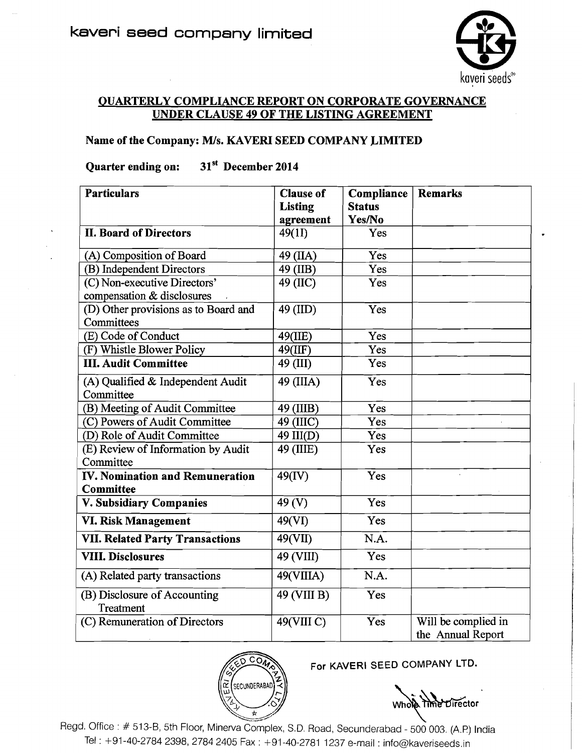

## QUARTERLY COMPLIANCE REPORT ON CORPORATE GOVERNANCE UNDER CLAUSE **49** OF THE LISTING AGREEMENT

## Name of the Company: M/s. KAVERI SEED COMPANY LIMITED

## Quarter ending on: 31<sup>st</sup> December 2014

| <b>Particulars</b>                                         | <b>Clause of</b>  | Compliance    | <b>Remarks</b>                           |
|------------------------------------------------------------|-------------------|---------------|------------------------------------------|
|                                                            | <b>Listing</b>    | <b>Status</b> |                                          |
|                                                            | agreement         | Yes/No        |                                          |
| <b>II. Board of Directors</b>                              | 49(11)            | Yes           |                                          |
| (A) Composition of Board                                   | 49 (IIA)          | Yes           |                                          |
| (B) Independent Directors                                  | 49 (IIB)          | Yes           |                                          |
| (C) Non-executive Directors'<br>compensation & disclosures | 49 (IIC)          | Yes           |                                          |
| (D) Other provisions as to Board and<br>Committees         | 49 (IID)          | Yes           |                                          |
| (E) Code of Conduct                                        | 49(IIE)           | Yes           |                                          |
| (F) Whistle Blower Policy                                  | 49(IIF)           | Yes           |                                          |
| <b>III. Audit Committee</b>                                | 49 (III)          | Yes           |                                          |
| (A) Qualified & Independent Audit<br>Committee             | 49 (IIIA)         | Yes           |                                          |
| (B) Meeting of Audit Committee                             | 49 (IIIB)         | Yes           |                                          |
| (C) Powers of Audit Committee                              | 49 (IIIC)         | Yes           |                                          |
| (D) Role of Audit Committee                                | 49 III(D)         | Yes           |                                          |
| (E) Review of Information by Audit<br>Committee            | 49 (IIIE)         | Yes           |                                          |
| IV. Nomination and Remuneration<br><b>Committee</b>        | 49(IV)            | Yes           | $\mathbf{r}$                             |
| V. Subsidiary Companies                                    | 49 <sub>(V)</sub> | Yes           |                                          |
| VI. Risk Management                                        | 49(VI)            | Yes           |                                          |
| <b>VII. Related Party Transactions</b>                     | 49(VII)           | N.A.          |                                          |
| <b>VIII. Disclosures</b>                                   | 49 (VIII)         | Yes           |                                          |
| (A) Related party transactions                             | 49(VIIIA)         | N.A.          |                                          |
| (B) Disclosure of Accounting<br>Treatment                  | 49 (VIII B)       | Yes           |                                          |
| (C) Remuneration of Directors                              | 49(VIII C)        | Yes           | Will be complied in<br>the Annual Report |



For KAVERI SEED COMPANY LTD.

Whole Time Director

Regd. Office : # 513-B, 5th Floor, Minerva Complex, S.D. Road, Secunderabad - 500 003. (A.P) India Tel : +91-40-2784 2398, 2784 2405 Fax : +91-40-2781 1237 e-mail : info@kaveriseeds.in